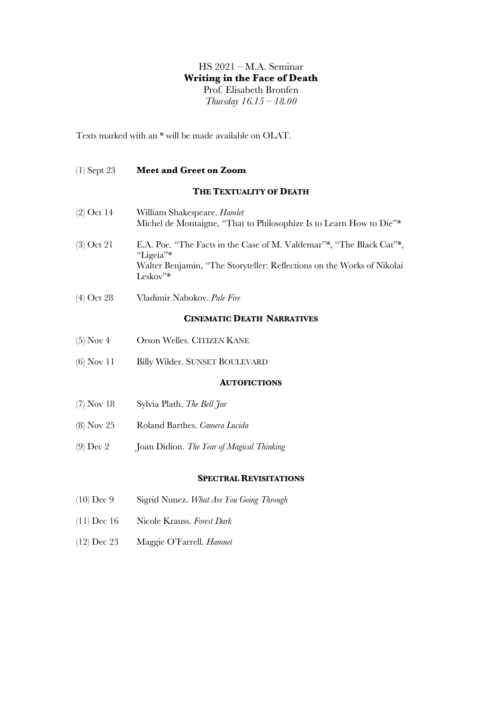# HS 2021 – M.A. Seminar **Writing in the Face of Death** Prof. Elisabeth Bronfen *Thursday 16.15 – 18.00*

Texts marked with an \* will be made available on OLAT.

### (1) Sept 23 **Meet and Greet on Zoom**

### **THE TEXTUALITY OF DEATH**

| $(2)$ Oct 14 | William Shakespeare. <i>Hamlet</i><br>Michel de Montaigne, "That to Philosophize Is to Learn How to Die"* |
|--------------|-----------------------------------------------------------------------------------------------------------|
| $(3)$ Oct 21 | E.A. Poe. "The Facts in the Case of M. Valdemar"*, "The Black Cat"*,<br>"Ligeia"*                         |
|              | Walter Benjamin, "The Storyteller: Reflections on the Works of Nikolai<br>$Leskov$ <sup>**</sup>          |

(4) Oct 28 Vladimir Nabokov. *Pale Fire*

## **CINEMATIC DEATH NARRATIVES**

- (5) Nov 4 Orson Welles. CITIZEN KANE
- (6) Nov 11 Billy Wilder. SUNSET BOULEVARD

## **AUTOFICTIONS**

- (7) Nov 18 Sylvia Plath. *The Bell Jar*
- (8) Nov 25 Roland Barthes. *Camera Lucida*
- (9) Dec 2 Joan Didion. *The Year of Magical Thinking*

#### **SPECTRAL REVISITATIONS**

- (10) Dec 9 Sigrid Nunez. *What Are You Going Through*
- (11) Dec 16 Nicole Krauss. *Forest Dark*
- (12) Dec 23 Maggie O'Farrell. *Hamnet*